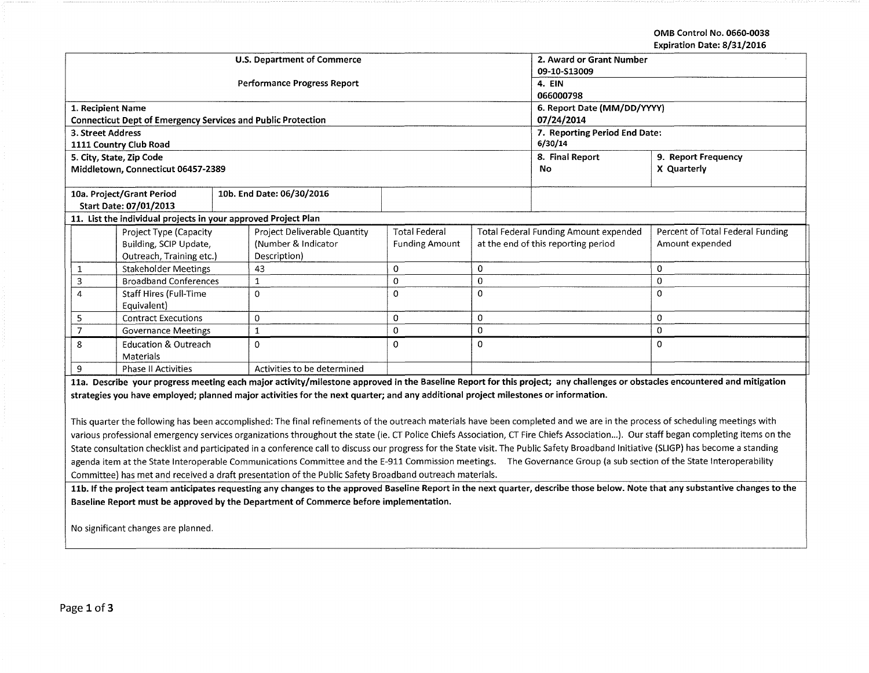**OMB Control No. 0660-0038 Expiration Date: 8/31/2016** 

|                                                                                                                                                                            | <b>U.S. Department of Commerce</b>                   | 2. Award or Grant Number      |                                     |             |                                                                           |  |  |  |
|----------------------------------------------------------------------------------------------------------------------------------------------------------------------------|------------------------------------------------------|-------------------------------|-------------------------------------|-------------|---------------------------------------------------------------------------|--|--|--|
|                                                                                                                                                                            |                                                      | 09-10-S13009                  |                                     |             |                                                                           |  |  |  |
|                                                                                                                                                                            | <b>Performance Progress Report</b>                   | 4. EIN                        |                                     |             |                                                                           |  |  |  |
|                                                                                                                                                                            |                                                      | 066000798                     |                                     |             |                                                                           |  |  |  |
| 1. Recipient Name                                                                                                                                                          |                                                      | 6. Report Date (MM/DD/YYYY)   |                                     |             |                                                                           |  |  |  |
| <b>Connecticut Dept of Emergency Services and Public Protection</b>                                                                                                        |                                                      | 07/24/2014                    |                                     |             |                                                                           |  |  |  |
| 3. Street Address                                                                                                                                                          |                                                      | 7. Reporting Period End Date: |                                     |             |                                                                           |  |  |  |
| 1111 Country Club Road                                                                                                                                                     |                                                      | 6/30/14                       |                                     |             |                                                                           |  |  |  |
| 5. City, State, Zip Code                                                                                                                                                   |                                                      | 8. Final Report               | 9. Report Frequency                 |             |                                                                           |  |  |  |
| Middletown, Connecticut 06457-2389                                                                                                                                         |                                                      |                               | No                                  | X Quarterly |                                                                           |  |  |  |
|                                                                                                                                                                            |                                                      |                               |                                     |             |                                                                           |  |  |  |
| 10a. Project/Grant Period                                                                                                                                                  | 10b. End Date: 06/30/2016                            |                               |                                     |             |                                                                           |  |  |  |
| Start Date: 07/01/2013                                                                                                                                                     |                                                      |                               |                                     |             |                                                                           |  |  |  |
| 11. List the individual projects in your approved Project Plan                                                                                                             |                                                      |                               |                                     |             |                                                                           |  |  |  |
| Project Type (Capacity                                                                                                                                                     | <b>Total Federal</b><br>Project Deliverable Quantity |                               |                                     |             | Percent of Total Federal Funding<br>Total Federal Funding Amount expended |  |  |  |
| Building, SCIP Update,                                                                                                                                                     | (Number & Indicator                                  | <b>Funding Amount</b>         | at the end of this reporting period |             | Amount expended                                                           |  |  |  |
| Outreach, Training etc.)                                                                                                                                                   | Description)                                         |                               |                                     |             |                                                                           |  |  |  |
| <b>Stakeholder Meetings</b><br>1                                                                                                                                           | 43                                                   | 0                             | 0                                   |             | 0                                                                         |  |  |  |
| <b>Broadband Conferences</b><br>3                                                                                                                                          |                                                      | $\mathbf 0$                   | $\mathbf 0$                         |             | 0                                                                         |  |  |  |
| <b>Staff Hires (Full-Time</b><br>4                                                                                                                                         | $\Omega$                                             | $\mathbf 0$                   | $\Omega$                            |             | 0                                                                         |  |  |  |
| Equivalent)                                                                                                                                                                |                                                      |                               |                                     |             |                                                                           |  |  |  |
| <b>Contract Executions</b>                                                                                                                                                 | 0                                                    | 0                             | 0                                   |             | 0                                                                         |  |  |  |
| <b>Governance Meetings</b>                                                                                                                                                 | 1                                                    | $\mathbf 0$                   | $\mathbf 0$                         |             | 0                                                                         |  |  |  |
| <b>Education &amp; Outreach</b><br>8                                                                                                                                       | 0                                                    | $\mathbf 0$                   | 0                                   |             | 0                                                                         |  |  |  |
| Materials                                                                                                                                                                  |                                                      |                               |                                     |             |                                                                           |  |  |  |
| 9<br><b>Phase II Activities</b>                                                                                                                                            | Activities to be determined                          |                               |                                     |             |                                                                           |  |  |  |
| 11a. Describe your progress meeting each major activity/milestone approved in the Baseline Report for this project; any challenges or obstacles encountered and mitigation |                                                      |                               |                                     |             |                                                                           |  |  |  |

**strategies you have employed; planned major activities for the next quarter; and any additional project milestones or information.** 

This quarter the following has been accomplished: The final refinements of the outreach materials have been completed and we are in the process of scheduling meetings with various professional emergency services organizations throughout the state (ie. CT Police Chiefs Association, CT Fire Chiefs Association...). Our staff began completing items on the State consultation checklist and participated in a conference call to discuss our progress for the State visit. The Public Safety Broadband Initiative (SLIGP) has become a standing agenda item at the State Interoperable Communications Committee and the E-911 Commission meetings. The Governance Group (a sub section of the State Interoperability Committee) has met and received a draft presentation of the Public Safety Broadband outreach materials.

**11b. If the project team anticipates requesting any changes to the approved Baseline Report in the next quarter, describe those below. Note that any substantive changes to the Baseline Report must be approved by the Department of Commerce before implementation.** 

No significant changes are planned.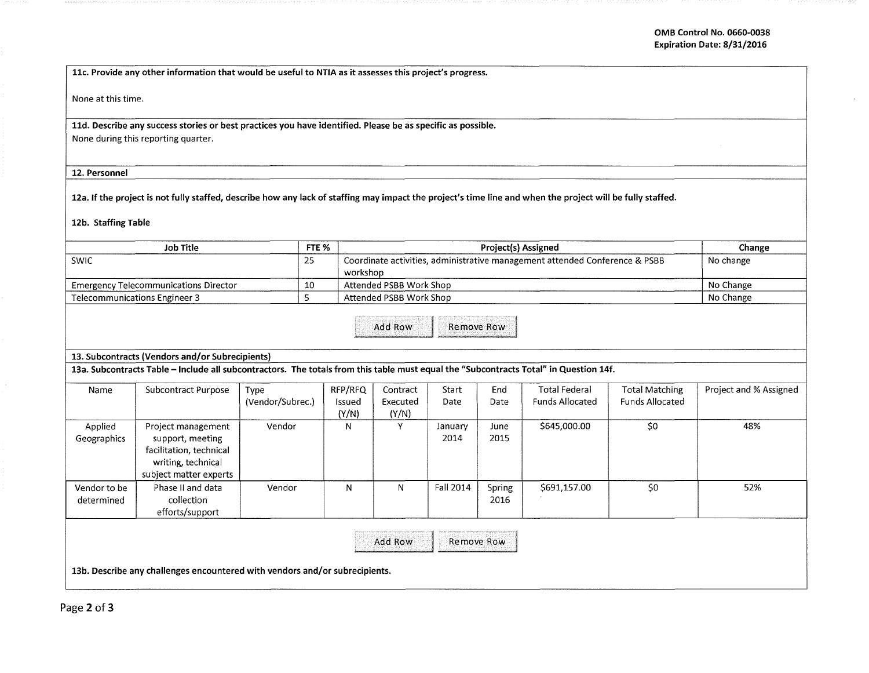11c. Provide any other information that would be useful to NTIA as it assesses this project's progress.

None at this time.

11d. Describe any success stories or best practices you have identified. Please be as specific as possible. None during this reporting quarter.

## 12. Personnel

12a. If the project is not fully staffed, describe how any lack of staffing may impact the project's time line and when the project will be fully staffed.

## 12b. Staffing Table

| <b>Job Title</b>                                                                                                                      |                                                                                                                   |                          | FTE <sub>%</sub> |                                                                                         |                               | Change          |                |                                                |                                                 |                        |
|---------------------------------------------------------------------------------------------------------------------------------------|-------------------------------------------------------------------------------------------------------------------|--------------------------|------------------|-----------------------------------------------------------------------------------------|-------------------------------|-----------------|----------------|------------------------------------------------|-------------------------------------------------|------------------------|
| <b>SWIC</b>                                                                                                                           |                                                                                                                   |                          | 25               | Coordinate activities, administrative management attended Conference & PSBB<br>workshop |                               |                 |                |                                                |                                                 | No change              |
| <b>Emergency Telecommunications Director</b>                                                                                          |                                                                                                                   |                          | 10               |                                                                                         | Attended PSBB Work Shop       | No Change       |                |                                                |                                                 |                        |
| <b>Telecommunications Engineer 3</b>                                                                                                  |                                                                                                                   |                          |                  | Attended PSBB Work Shop                                                                 |                               |                 |                |                                                |                                                 | No Change              |
| Add Row<br>Remove Row                                                                                                                 |                                                                                                                   |                          |                  |                                                                                         |                               |                 |                |                                                |                                                 |                        |
| 13. Subcontracts (Vendors and/or Subrecipients)                                                                                       |                                                                                                                   |                          |                  |                                                                                         |                               |                 |                |                                                |                                                 |                        |
| 13a. Subcontracts Table - Include all subcontractors. The totals from this table must equal the "Subcontracts Total" in Question 14f. |                                                                                                                   |                          |                  |                                                                                         |                               |                 |                |                                                |                                                 |                        |
| Name                                                                                                                                  | Subcontract Purpose                                                                                               | Type<br>(Vendor/Subrec.) | Issued           | RFP/RFQ<br>(Y/N)                                                                        | Contract<br>Executed<br>(Y/N) | Start<br>Date   | End<br>Date    | <b>Total Federal</b><br><b>Funds Allocated</b> | <b>Total Matching</b><br><b>Funds Allocated</b> | Project and % Assigned |
| Applied<br>Geographics                                                                                                                | Project management<br>support, meeting<br>facilitation, technical<br>writing, technical<br>subject matter experts | Vendor                   |                  | N                                                                                       | Y                             | January<br>2014 | June<br>2015   | \$645,000.00                                   | \$0                                             | 48%                    |
| Vendor to be<br>determined                                                                                                            | Phase II and data<br>collection<br>efforts/support                                                                | Vendor                   |                  | N                                                                                       | N.                            | Fall 2014       | Spring<br>2016 | \$691,157.00                                   | \$0                                             | 52%                    |
| Add Row<br>Remove Row<br>13b. Describe any challenges encountered with vendors and/or subrecipients.                                  |                                                                                                                   |                          |                  |                                                                                         |                               |                 |                |                                                |                                                 |                        |
|                                                                                                                                       |                                                                                                                   |                          |                  |                                                                                         |                               |                 |                |                                                |                                                 |                        |